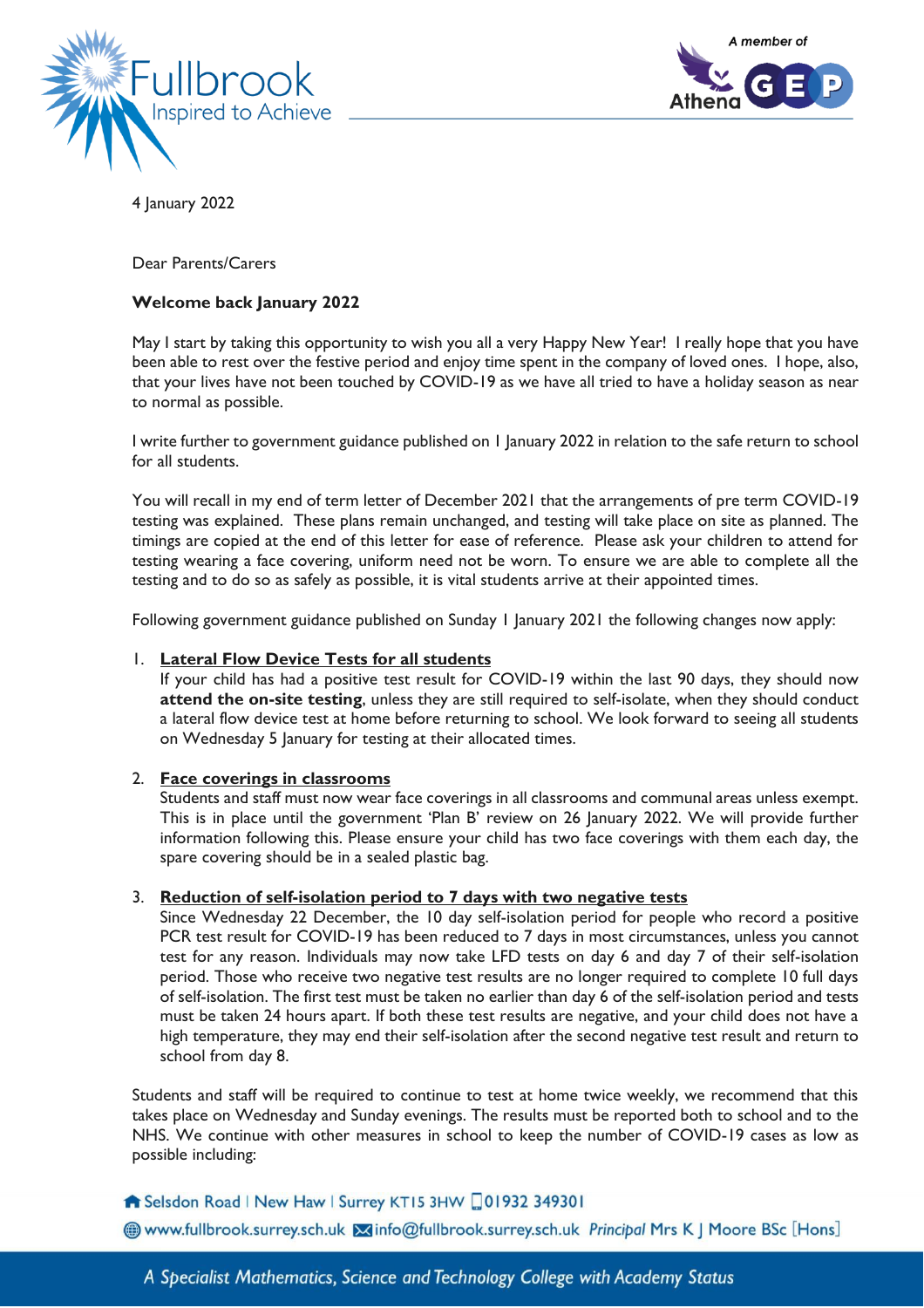



4 January 2022

# Dear Parents/Carers

# **Welcome back January 2022**

May I start by taking this opportunity to wish you all a very Happy New Year! I really hope that you have been able to rest over the festive period and enjoy time spent in the company of loved ones. I hope, also, that your lives have not been touched by COVID-19 as we have all tried to have a holiday season as near to normal as possible.

I write further to government guidance published on 1 January 2022 in relation to the safe return to school for all students.

You will recall in my end of term letter of December 2021 that the arrangements of pre term COVID-19 testing was explained. These plans remain unchanged, and testing will take place on site as planned. The timings are copied at the end of this letter for ease of reference. Please ask your children to attend for testing wearing a face covering, uniform need not be worn. To ensure we are able to complete all the testing and to do so as safely as possible, it is vital students arrive at their appointed times.

Following government guidance published on Sunday 1 January 2021 the following changes now apply:

### 1. **Lateral Flow Device Tests for all students**

If your child has had a positive test result for COVID-19 within the last 90 days, they should now **attend the on-site testing**, unless they are still required to self-isolate, when they should conduct a lateral flow device test at home before returning to school. We look forward to seeing all students on Wednesday 5 January for testing at their allocated times.

### 2. **Face coverings in classrooms**

Students and staff must now wear face coverings in all classrooms and communal areas unless exempt. This is in place until the government 'Plan B' review on 26 January 2022. We will provide further information following this. Please ensure your child has two face coverings with them each day, the spare covering should be in a sealed plastic bag.

### 3. **Reduction of self-isolation period to 7 days with two negative tests**

Since Wednesday 22 December, the 10 day self-isolation period for people who record a positive PCR test result for COVID-19 has been reduced to 7 days in most circumstances, unless you cannot test for any reason. Individuals may now take LFD tests on day 6 and day 7 of their self-isolation period. Those who receive two negative test results are no longer required to complete 10 full days of self-isolation. The first test must be taken no earlier than day 6 of the self-isolation period and tests must be taken 24 hours apart. If both these test results are negative, and your child does not have a high temperature, they may end their self-isolation after the second negative test result and return to school from day 8.

Students and staff will be required to continue to test at home twice weekly, we recommend that this takes place on Wednesday and Sunday evenings. The results must be reported both to school and to the NHS. We continue with other measures in school to keep the number of COVID-19 cases as low as possible including:

## Selsdon Road | New Haw | Surrey KT15 3HW 01932 349301

Www.fullbrook.surrey.sch.uk Minfo@fullbrook.surrey.sch.uk Principal Mrs K J Moore BSc [Hons]

A Specialist Mathematics, Science and Technology College with Academy Status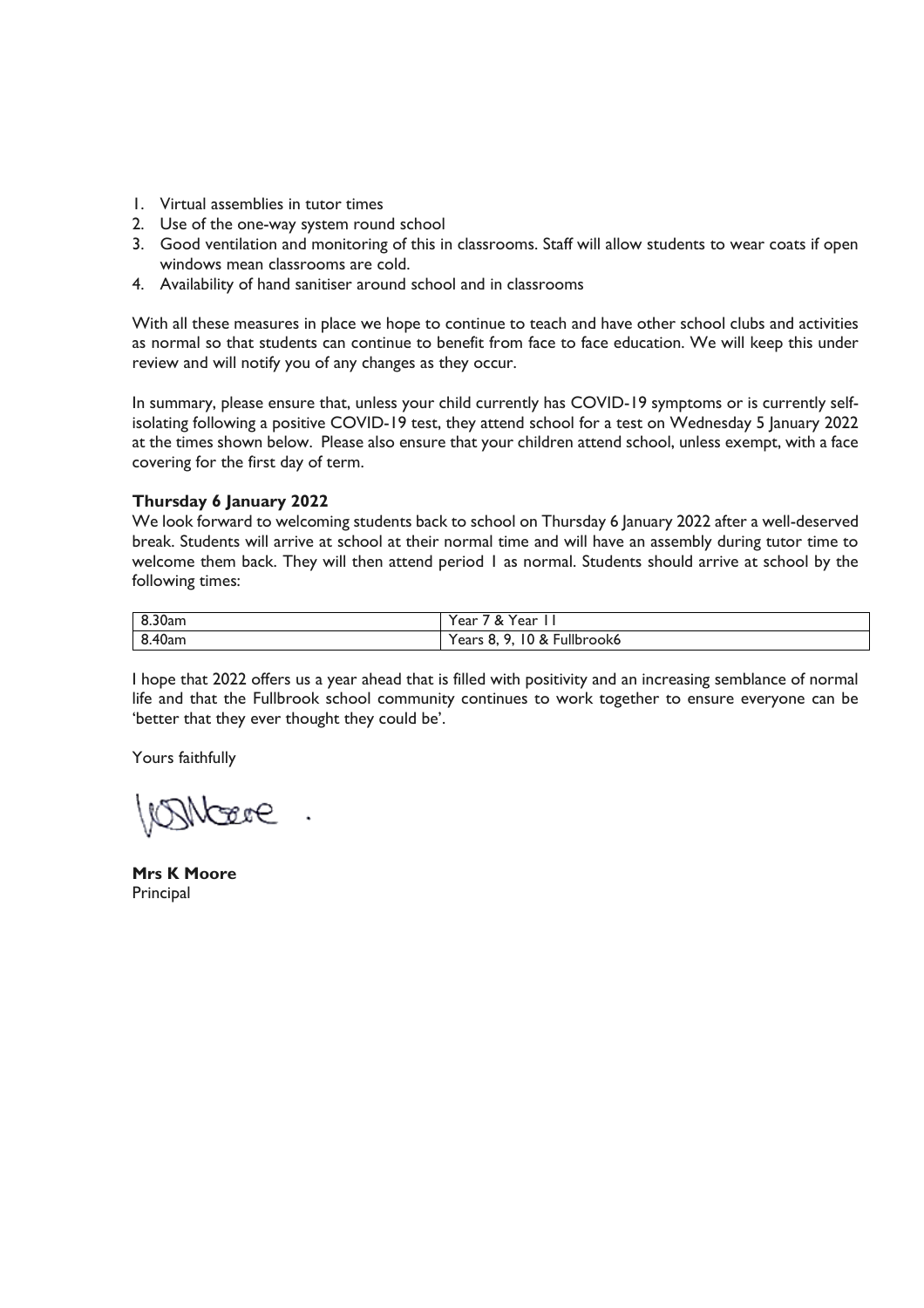- 1. Virtual assemblies in tutor times
- 2. Use of the one-way system round school
- 3. Good ventilation and monitoring of this in classrooms. Staff will allow students to wear coats if open windows mean classrooms are cold.
- 4. Availability of hand sanitiser around school and in classrooms

With all these measures in place we hope to continue to teach and have other school clubs and activities as normal so that students can continue to benefit from face to face education. We will keep this under review and will notify you of any changes as they occur.

In summary, please ensure that, unless your child currently has COVID-19 symptoms or is currently selfisolating following a positive COVID-19 test, they attend school for a test on Wednesday 5 January 2022 at the times shown below. Please also ensure that your children attend school, unless exempt, with a face covering for the first day of term.

# **Thursday 6 January 2022**

We look forward to welcoming students back to school on Thursday 6 January 2022 after a well-deserved break. Students will arrive at school at their normal time and will have an assembly during tutor time to welcome them back. They will then attend period 1 as normal. Students should arrive at school by the following times:

| 8.30am       | Year.<br>&<br>'ear                          |
|--------------|---------------------------------------------|
| 0.40<br>40am | Fullbrook6<br>ı٥<br>Years c<br>&<br>്.<br>ັ |

I hope that 2022 offers us a year ahead that is filled with positivity and an increasing semblance of normal life and that the Fullbrook school community continues to work together to ensure everyone can be 'better that they ever thought they could be'.

Yours faithfully

*INNEER* 

**Mrs K Moore Principal**